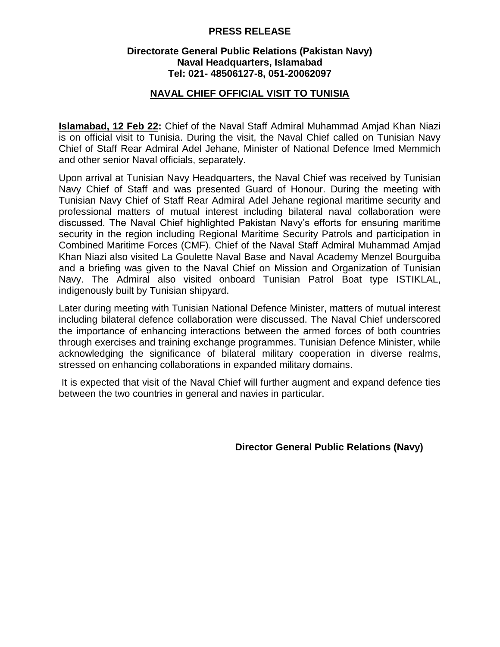## **PRESS RELEASE**

## **Directorate General Public Relations (Pakistan Navy) Naval Headquarters, Islamabad Tel: 021- 48506127-8, 051-20062097**

## **NAVAL CHIEF OFFICIAL VISIT TO TUNISIA**

**Islamabad, 12 Feb 22:** Chief of the Naval Staff Admiral Muhammad Amjad Khan Niazi is on official visit to Tunisia. During the visit, the Naval Chief called on Tunisian Navy Chief of Staff Rear Admiral Adel Jehane, Minister of National Defence Imed Memmich and other senior Naval officials, separately.

Upon arrival at Tunisian Navy Headquarters, the Naval Chief was received by Tunisian Navy Chief of Staff and was presented Guard of Honour. During the meeting with Tunisian Navy Chief of Staff Rear Admiral Adel Jehane regional maritime security and professional matters of mutual interest including bilateral naval collaboration were discussed. The Naval Chief highlighted Pakistan Navy's efforts for ensuring maritime security in the region including Regional Maritime Security Patrols and participation in Combined Maritime Forces (CMF). Chief of the Naval Staff Admiral Muhammad Amjad Khan Niazi also visited La Goulette Naval Base and Naval Academy Menzel Bourguiba and a briefing was given to the Naval Chief on Mission and Organization of Tunisian Navy. The Admiral also visited onboard Tunisian Patrol Boat type ISTIKLAL, indigenously built by Tunisian shipyard.

Later during meeting with Tunisian National Defence Minister, matters of mutual interest including bilateral defence collaboration were discussed. The Naval Chief underscored the importance of enhancing interactions between the armed forces of both countries through exercises and training exchange programmes. Tunisian Defence Minister, while acknowledging the significance of bilateral military cooperation in diverse realms, stressed on enhancing collaborations in expanded military domains.

It is expected that visit of the Naval Chief will further augment and expand defence ties between the two countries in general and navies in particular.

**Director General Public Relations (Navy)**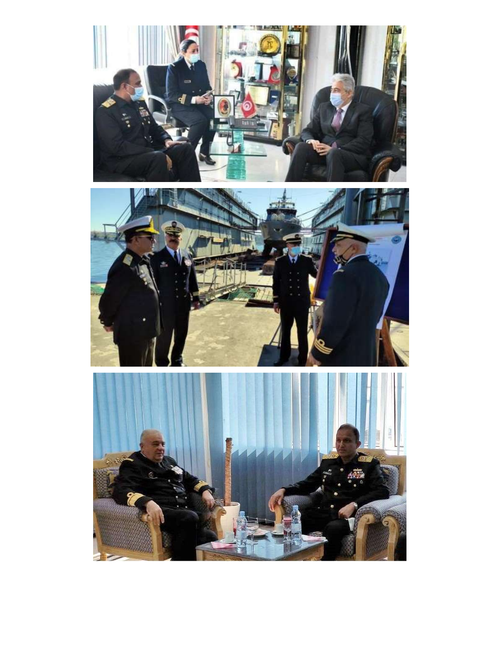